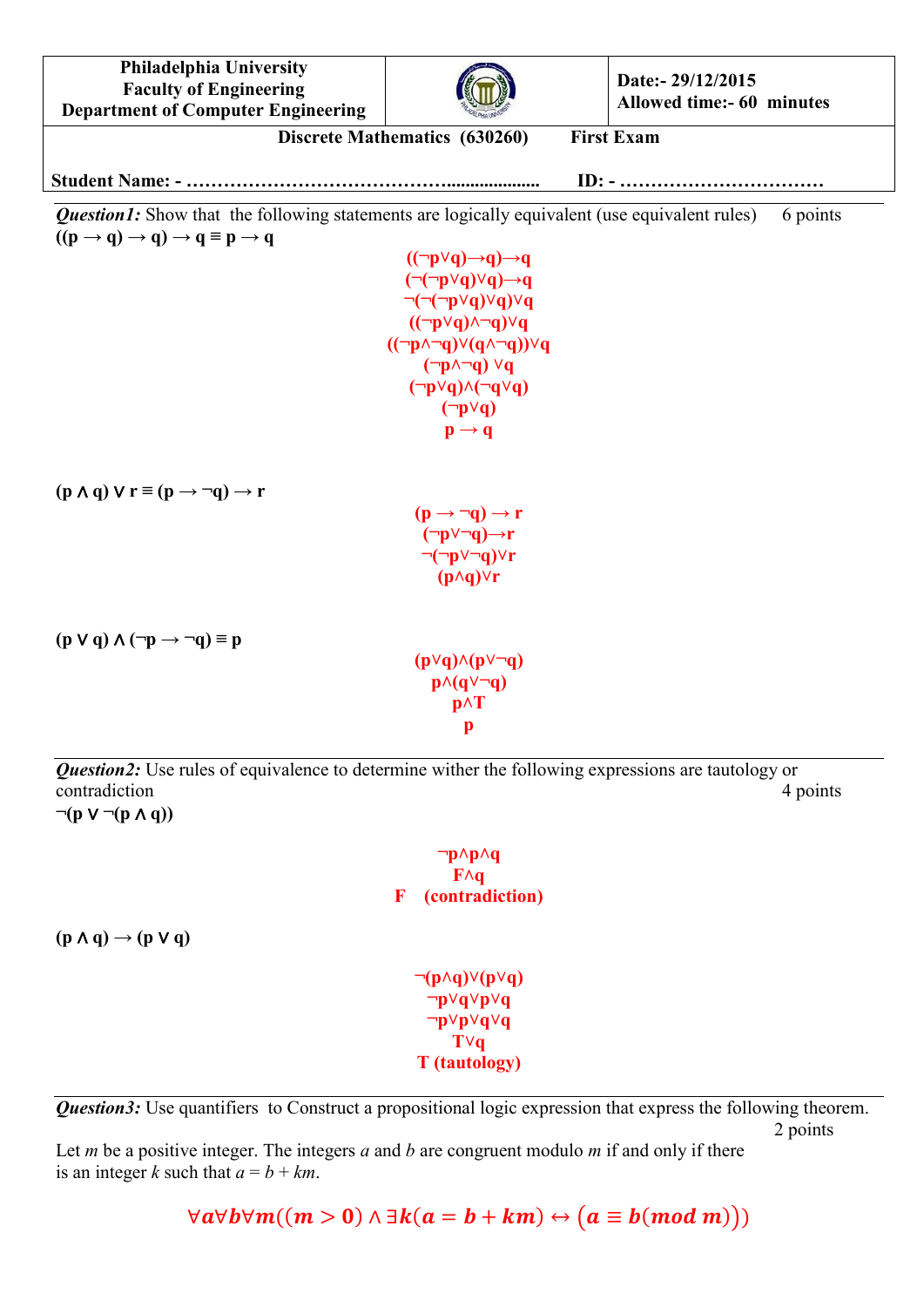

 $\neg(p \land q) \lor (p \lor q)$ **¬p˅q˅p˅q ¬p˅p˅q˅q T˅q T (tautology)**

*Question3:* Use quantifiers to Construct a propositional logic expression that express the following theorem. 2 points

Let *m* be a positive integer. The integers *a* and *b* are congruent modulo *m* if and only if there is an integer *k* such that  $a = b + km$ .

 $\forall a \forall b \forall m ((m > 0) \land \exists k (a = b + km) \leftrightarrow (a \equiv b (mod m)))$